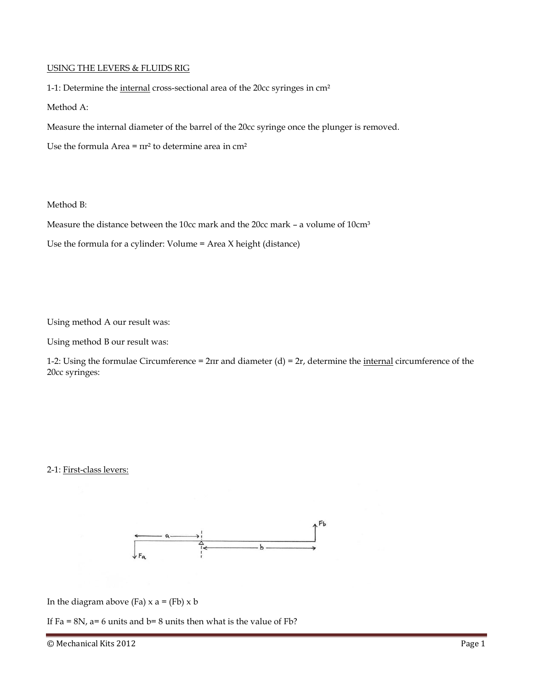### USING THE LEVERS & FLUIDS RIG

1-1: Determine the internal cross-sectional area of the 20cc syringes in cm²

Method A:

Measure the internal diameter of the barrel of the 20cc syringe once the plunger is removed.

Use the formula Area =  $\pi r^2$  to determine area in  $\text{cm}^2$ 

#### Method B:

Measure the distance between the 10cc mark and the 20cc mark – a volume of 10cm<sup>3</sup>

Use the formula for a cylinder: Volume = Area X height (distance)

Using method A our result was:

Using method B our result was:

1-2: Using the formulae Circumference =  $2πr$  and diameter (d) =  $2r$ , determine the internal circumference of the 20cc syringes:

#### 2-1: First-class levers:



In the diagram above (Fa)  $x$  a = (Fb)  $x$  b

If Fa = 8N, a= 6 units and  $b=8$  units then what is the value of Fb?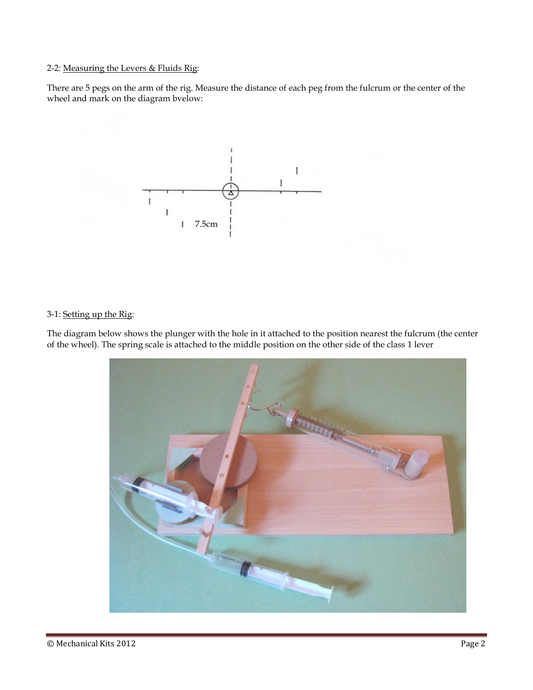## 2-2: Measuring the Levers & Fluids Rig:

There are 5 pegs on the arm of the rig. Measure the distance of each peg from the fulcrum or the center of the wheel and mark on the diagram bvelow:



## 3-1: Setting up the Rig:

The diagram below shows the plunger with the hole in it attached to the position nearest the fulcrum (the center of the wheel). The spring scale is attached to the middle position on the other side of the class 1 lever

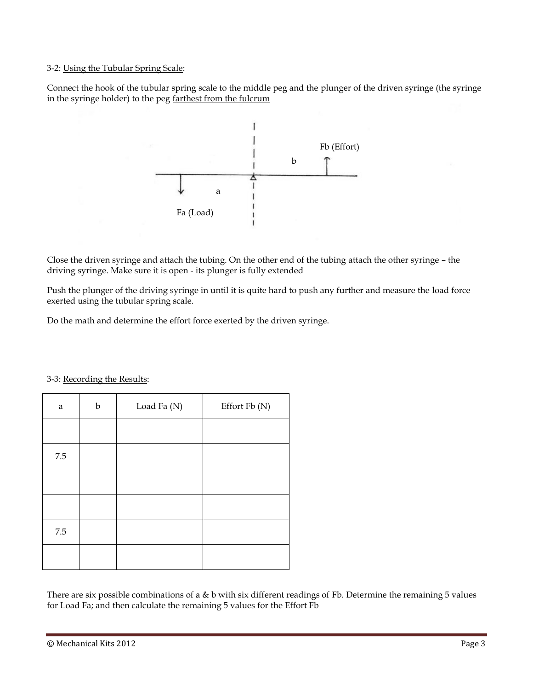### 3-2: Using the Tubular Spring Scale:

Connect the hook of the tubular spring scale to the middle peg and the plunger of the driven syringe (the syringe in the syringe holder) to the peg farthest from the fulcrum



Close the driven syringe and attach the tubing. On the other end of the tubing attach the other syringe – the driving syringe. Make sure it is open - its plunger is fully extended

Push the plunger of the driving syringe in until it is quite hard to push any further and measure the load force exerted using the tubular spring scale.

Do the math and determine the effort force exerted by the driven syringe.

| a       | b | Load Fa (N) | Effort Fb (N) |
|---------|---|-------------|---------------|
|         |   |             |               |
| $7.5\,$ |   |             |               |
|         |   |             |               |
|         |   |             |               |
| $7.5\,$ |   |             |               |
|         |   |             |               |

3-3: Recording the Results:

There are six possible combinations of a & b with six different readings of Fb. Determine the remaining 5 values for Load Fa; and then calculate the remaining 5 values for the Effort Fb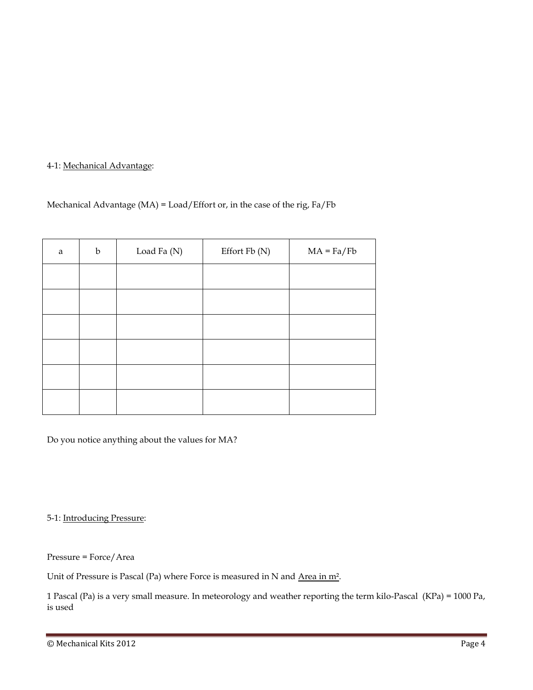# 4-1: Mechanical Advantage:

# Mechanical Advantage (MA) = Load/Effort or, in the case of the rig, Fa/Fb

| $\rm{a}$ | $\mathbf b$ | Load Fa (N) | Effort Fb (N) | $MA = Fa/Fb$ |
|----------|-------------|-------------|---------------|--------------|
|          |             |             |               |              |
|          |             |             |               |              |
|          |             |             |               |              |
|          |             |             |               |              |
|          |             |             |               |              |
|          |             |             |               |              |

Do you notice anything about the values for MA?

5-1: Introducing Pressure:

Pressure = Force/Area

Unit of Pressure is Pascal (Pa) where Force is measured in N and Area in m<sup>2</sup>.

1 Pascal (Pa) is a very small measure. In meteorology and weather reporting the term kilo-Pascal (KPa) = 1000 Pa, is used

<sup>©</sup> Mechanical Kits 2012 Page 4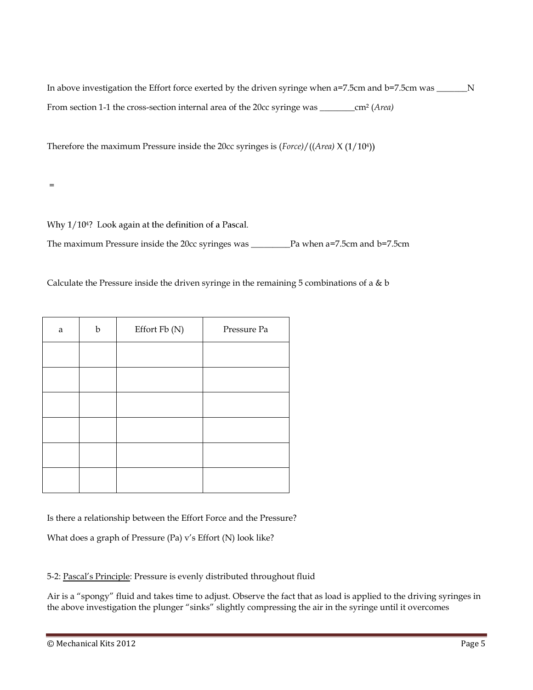Therefore the maximum Pressure inside the 20cc syringes is (*Force)*/((*Area)*

=

Why 1/10<sup>4</sup>? Look again at the definition of a Pascal.

The maximum Pressure inside the 20cc syringes was \_\_\_\_\_\_\_\_\_Pa when a=7.5cm and b=7.5cm

Calculate the Pressure inside the driven syringe in the remaining 5 combinations of a  $\&$  b

| a | $\mathbf b$ | Effort Fb (N) | Pressure Pa |
|---|-------------|---------------|-------------|
|   |             |               |             |
|   |             |               |             |
|   |             |               |             |
|   |             |               |             |
|   |             |               |             |
|   |             |               |             |

Is there a relationship between the Effort Force and the Pressure?

What does a graph of Pressure (Pa) v's Effort (N) look like?

5-2: Pascal's Principle: Pressure is evenly distributed throughout fluid

Air is a "spongy" fluid and takes time to adjust. Observe the fact that as load is applied to the driving syringes in the above investigation the plunger "sinks" slightly compressing the air in the syringe until it overcomes

<sup>©</sup> Mechanical Kits 2012 Page 5